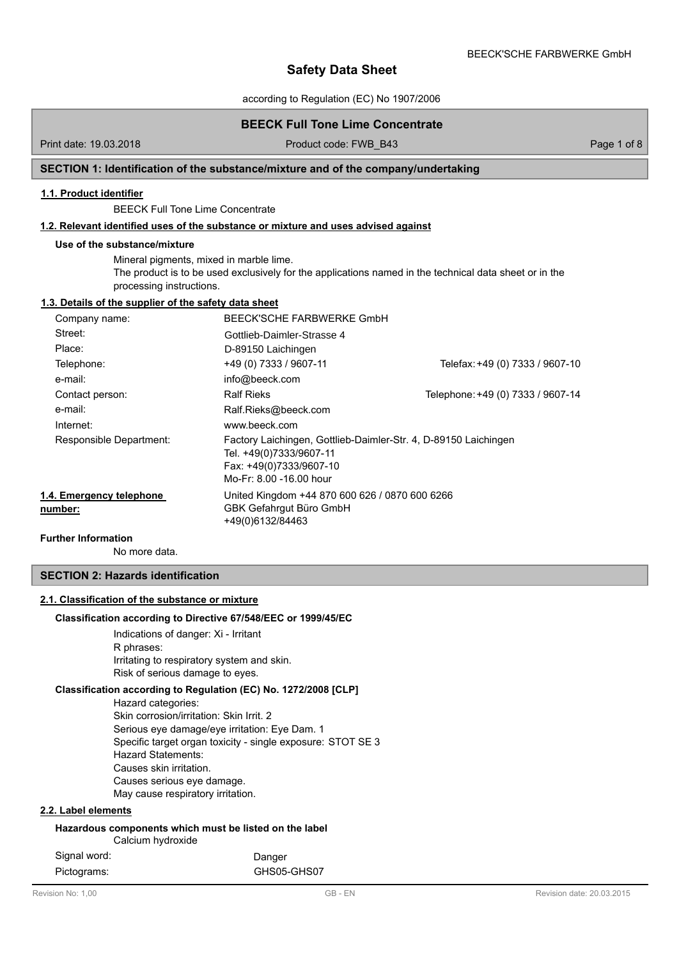according to Regulation (EC) No 1907/2006

# **BEECK Full Tone Lime Concentrate**

Print date: 19.03.2018 **Product code: FWB\_B43** Page 1 of 8 Page 1 of 8

# **SECTION 1: Identification of the substance/mixture and of the company/undertaking**

# **1.1. Product identifier**

BEECK Full Tone Lime Concentrate

# **1.2. Relevant identified uses of the substance or mixture and uses advised against**

#### **Use of the substance/mixture**

Mineral pigments, mixed in marble lime. The product is to be used exclusively for the applications named in the technical data sheet or in the processing instructions.

# **1.3. Details of the supplier of the safety data sheet**

| Company name:                       | BEECK'SCHE FARBWERKE GmbH                                                                                                                        |                                   |
|-------------------------------------|--------------------------------------------------------------------------------------------------------------------------------------------------|-----------------------------------|
| Street:                             | Gottlieb-Daimler-Strasse 4                                                                                                                       |                                   |
| Place:                              | D-89150 Laichingen                                                                                                                               |                                   |
| Telephone:                          | +49 (0) 7333 / 9607-11                                                                                                                           | Telefax: +49 (0) 7333 / 9607-10   |
| e-mail:                             | info@beeck.com                                                                                                                                   |                                   |
| Contact person:                     | <b>Ralf Rieks</b>                                                                                                                                | Telephone: +49 (0) 7333 / 9607-14 |
| e-mail:                             | Ralf.Rieks@beeck.com                                                                                                                             |                                   |
| Internet:                           | www.beeck.com                                                                                                                                    |                                   |
| Responsible Department:             | Factory Laichingen, Gottlieb-Daimler-Str. 4, D-89150 Laichingen<br>Tel. +49(0)7333/9607-11<br>Fax: +49(0)7333/9607-10<br>Mo-Fr: 8.00 -16.00 hour |                                   |
| 1.4. Emergency telephone<br>number: | United Kingdom +44 870 600 626 / 0870 600 6266<br>GBK Gefahrgut Büro GmbH<br>+49(0)6132/84463                                                    |                                   |

### **Further Information**

No more data.

# **SECTION 2: Hazards identification**

# **2.1. Classification of the substance or mixture**

#### **Classification according to Directive 67/548/EEC or 1999/45/EC**

Indications of danger: Xi - Irritant R phrases: Irritating to respiratory system and skin. Risk of serious damage to eyes.

### **Classification according to Regulation (EC) No. 1272/2008 [CLP]**

Hazard categories:

Skin corrosion/irritation: Skin Irrit. 2 Serious eye damage/eye irritation: Eye Dam. 1 Specific target organ toxicity - single exposure: STOT SE 3 Hazard Statements: Causes skin irritation. Causes serious eye damage. May cause respiratory irritation.

# **2.2. Label elements**

| Hazardous components which must be listed on the label<br>Calcium hydroxide |             |  |
|-----------------------------------------------------------------------------|-------------|--|
| Signal word:                                                                | Danger      |  |
| Pictograms:                                                                 | GHS05-GHS07 |  |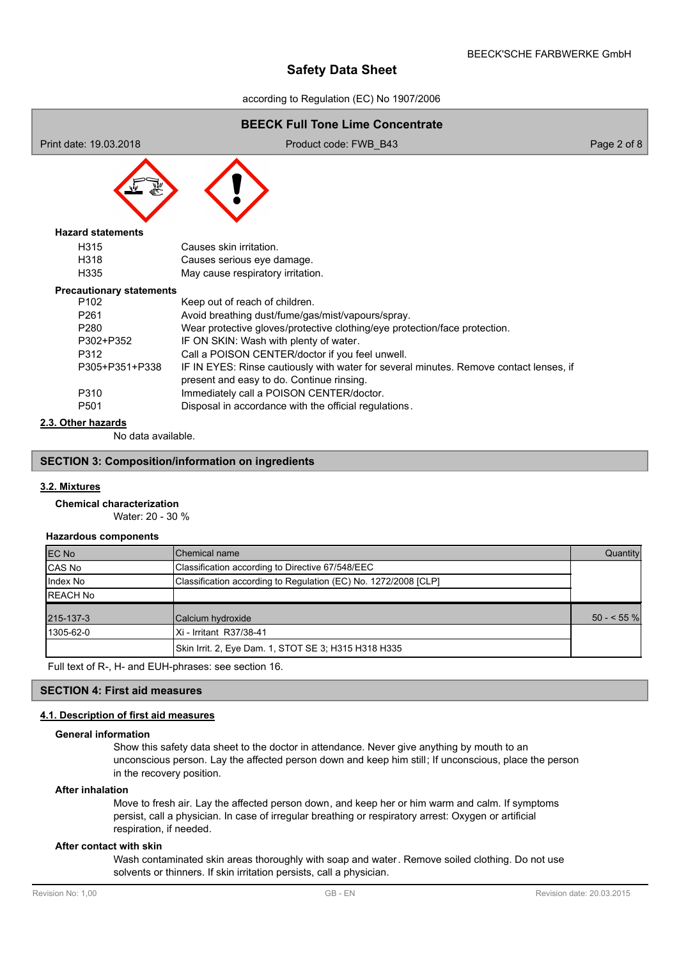according to Regulation (EC) No 1907/2006

| <b>BEECK Full Tone Lime Concentrate</b> |                                                                                                                                     |             |  |  |
|-----------------------------------------|-------------------------------------------------------------------------------------------------------------------------------------|-------------|--|--|
| Print date: 19.03.2018                  | Product code: FWB B43                                                                                                               | Page 2 of 8 |  |  |
|                                         |                                                                                                                                     |             |  |  |
| <b>Hazard statements</b>                |                                                                                                                                     |             |  |  |
| H <sub>315</sub>                        | Causes skin irritation.                                                                                                             |             |  |  |
| H318                                    | Causes serious eye damage.                                                                                                          |             |  |  |
| H335                                    | May cause respiratory irritation.                                                                                                   |             |  |  |
| <b>Precautionary statements</b>         |                                                                                                                                     |             |  |  |
| P <sub>102</sub>                        | Keep out of reach of children.                                                                                                      |             |  |  |
| P261                                    | Avoid breathing dust/fume/gas/mist/vapours/spray.                                                                                   |             |  |  |
| P280                                    | Wear protective gloves/protective clothing/eye protection/face protection.                                                          |             |  |  |
| P302+P352                               | IF ON SKIN: Wash with plenty of water.                                                                                              |             |  |  |
| P312                                    | Call a POISON CENTER/doctor if you feel unwell.                                                                                     |             |  |  |
| P305+P351+P338                          | IF IN EYES: Rinse cautiously with water for several minutes. Remove contact lenses, if<br>present and easy to do. Continue rinsing. |             |  |  |
| P310                                    | Immediately call a POISON CENTER/doctor.                                                                                            |             |  |  |
| P501                                    | Disposal in accordance with the official regulations.                                                                               |             |  |  |
| 2.3. Other hazards                      |                                                                                                                                     |             |  |  |

No data available.

# **SECTION 3: Composition/information on ingredients**

# **3.2. Mixtures**

# **Chemical characterization**

Water: 20 - 30 %

# **Hazardous components**

| <b>EC No</b>    | lChemical name                                                  | Quantity    |
|-----------------|-----------------------------------------------------------------|-------------|
| CAS No          | Classification according to Directive 67/548/EEC                |             |
| Index No        | Classification according to Regulation (EC) No. 1272/2008 [CLP] |             |
| <b>REACH No</b> |                                                                 |             |
| 215-137-3       | Calcium hydroxide                                               | $50 - 55\%$ |
| 1305-62-0       | IXi - Irritant R37/38-41                                        |             |
|                 | Skin Irrit. 2, Eye Dam. 1, STOT SE 3; H315 H318 H335            |             |

Full text of R-, H- and EUH-phrases: see section 16.

# **SECTION 4: First aid measures**

# **4.1. Description of first aid measures**

#### **General information**

Show this safety data sheet to the doctor in attendance. Never give anything by mouth to an unconscious person. Lay the affected person down and keep him still; If unconscious, place the person in the recovery position.

#### **After inhalation**

Move to fresh air. Lay the affected person down, and keep her or him warm and calm. If symptoms persist, call a physician. In case of irregular breathing or respiratory arrest: Oxygen or artificial respiration, if needed.

### **After contact with skin**

Wash contaminated skin areas thoroughly with soap and water. Remove soiled clothing. Do not use solvents or thinners. If skin irritation persists, call a physician.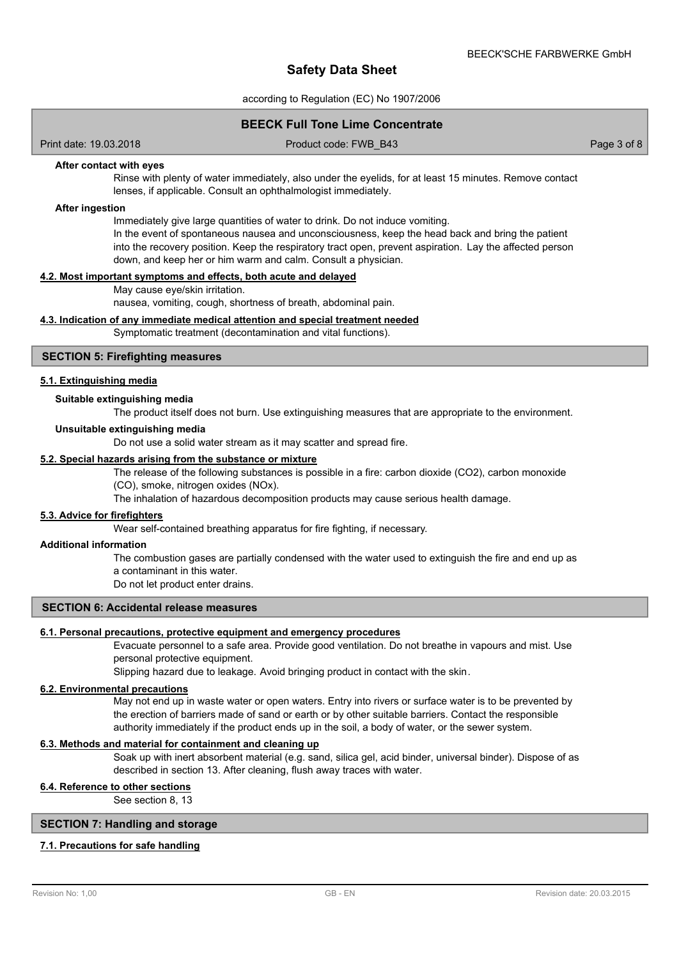according to Regulation (EC) No 1907/2006

# **BEECK Full Tone Lime Concentrate**

Print date: 19.03.2018 Product code: FWB\_B43 Page 3 of 8

### **After contact with eyes**

Rinse with plenty of water immediately, also under the eyelids, for at least 15 minutes. Remove contact lenses, if applicable. Consult an ophthalmologist immediately.

#### **After ingestion**

Immediately give large quantities of water to drink. Do not induce vomiting.

In the event of spontaneous nausea and unconsciousness, keep the head back and bring the patient into the recovery position. Keep the respiratory tract open, prevent aspiration. Lay the affected person down, and keep her or him warm and calm. Consult a physician.

#### **4.2. Most important symptoms and effects, both acute and delayed**

May cause eye/skin irritation.

nausea, vomiting, cough, shortness of breath, abdominal pain.

#### **4.3. Indication of any immediate medical attention and special treatment needed**

Symptomatic treatment (decontamination and vital functions).

# **SECTION 5: Firefighting measures**

#### **5.1. Extinguishing media**

#### **Suitable extinguishing media**

The product itself does not burn. Use extinguishing measures that are appropriate to the environment.

#### **Unsuitable extinguishing media**

Do not use a solid water stream as it may scatter and spread fire.

#### **5.2. Special hazards arising from the substance or mixture**

The release of the following substances is possible in a fire: carbon dioxide (CO2), carbon monoxide (CO), smoke, nitrogen oxides (NOx).

The inhalation of hazardous decomposition products may cause serious health damage.

#### **5.3. Advice for firefighters**

Wear self-contained breathing apparatus for fire fighting, if necessary.

#### **Additional information**

The combustion gases are partially condensed with the water used to extinguish the fire and end up as a contaminant in this water.

Do not let product enter drains.

# **SECTION 6: Accidental release measures**

# **6.1. Personal precautions, protective equipment and emergency procedures**

Evacuate personnel to a safe area. Provide good ventilation. Do not breathe in vapours and mist. Use personal protective equipment.

Slipping hazard due to leakage. Avoid bringing product in contact with the skin.

#### **6.2. Environmental precautions**

May not end up in waste water or open waters. Entry into rivers or surface water is to be prevented by the erection of barriers made of sand or earth or by other suitable barriers. Contact the responsible authority immediately if the product ends up in the soil, a body of water, or the sewer system.

# **6.3. Methods and material for containment and cleaning up**

Soak up with inert absorbent material (e.g. sand, silica gel, acid binder, universal binder). Dispose of as described in section 13. After cleaning, flush away traces with water.

# **6.4. Reference to other sections**

See section 8, 13

# **SECTION 7: Handling and storage**

### **7.1. Precautions for safe handling**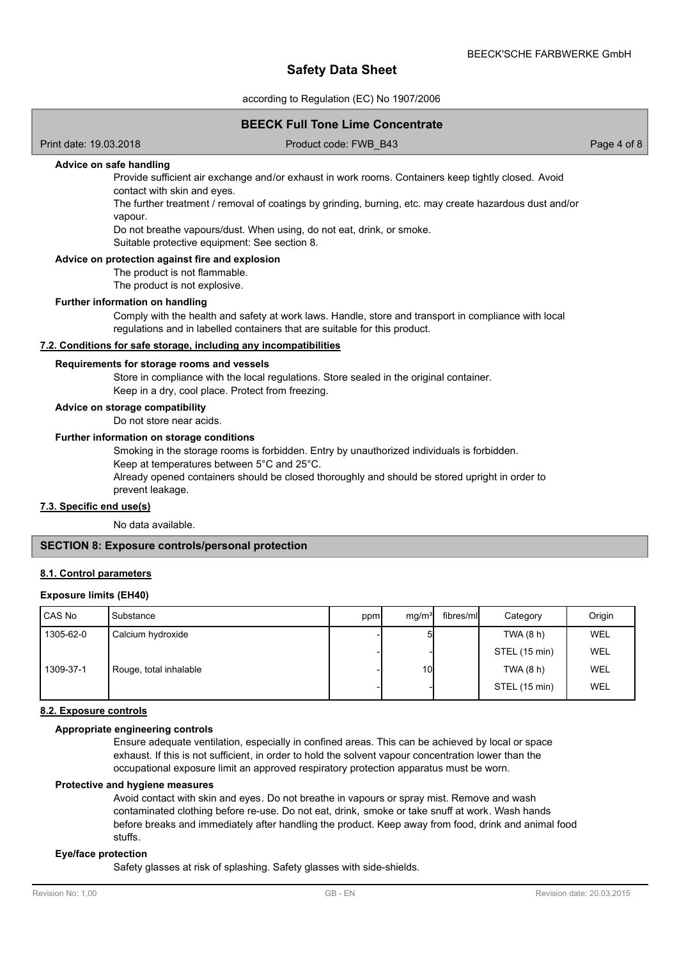according to Regulation (EC) No 1907/2006

# **BEECK Full Tone Lime Concentrate**

Print date: 19.03.2018 Product code: FWB\_B43 Page 4 of 8

# **Advice on safe handling**

Provide sufficient air exchange and/or exhaust in work rooms. Containers keep tightly closed. Avoid contact with skin and eyes.

The further treatment / removal of coatings by grinding, burning, etc. may create hazardous dust and/or vapour.

Do not breathe vapours/dust. When using, do not eat, drink, or smoke.

Suitable protective equipment: See section 8.

## **Advice on protection against fire and explosion**

The product is not flammable.

The product is not explosive.

#### **Further information on handling**

Comply with the health and safety at work laws. Handle, store and transport in compliance with local regulations and in labelled containers that are suitable for this product.

#### **7.2. Conditions for safe storage, including any incompatibilities**

#### **Requirements for storage rooms and vessels**

Store in compliance with the local regulations. Store sealed in the original container. Keep in a dry, cool place. Protect from freezing.

#### **Advice on storage compatibility**

Do not store near acids.

#### **Further information on storage conditions**

Smoking in the storage rooms is forbidden. Entry by unauthorized individuals is forbidden.

Keep at temperatures between 5°C and 25°C.

Already opened containers should be closed thoroughly and should be stored upright in order to prevent leakage.

#### **7.3. Specific end use(s)**

No data available.

## **SECTION 8: Exposure controls/personal protection**

#### **8.1. Control parameters**

## **Exposure limits (EH40)**

| CAS No    | Substance              | ppm | mq/m <sup>3</sup> | fibres/mll | Category      | Origin |
|-----------|------------------------|-----|-------------------|------------|---------------|--------|
| 1305-62-0 | Calcium hydroxide      |     |                   |            | TWA (8 h)     | WEL    |
|           |                        |     |                   |            | STEL (15 min) | WEL    |
| 1309-37-1 | Rouge, total inhalable |     | 10I               |            | TWA (8 h)     | WEL    |
|           |                        |     |                   |            | STEL (15 min) | WEL    |

### **8.2. Exposure controls**

### **Appropriate engineering controls**

Ensure adequate ventilation, especially in confined areas. This can be achieved by local or space exhaust. If this is not sufficient, in order to hold the solvent vapour concentration lower than the occupational exposure limit an approved respiratory protection apparatus must be worn.

#### **Protective and hygiene measures**

Avoid contact with skin and eyes. Do not breathe in vapours or spray mist. Remove and wash contaminated clothing before re-use. Do not eat, drink, smoke or take snuff at work. Wash hands before breaks and immediately after handling the product. Keep away from food, drink and animal food stuffs.

#### **Eye/face protection**

Safety glasses at risk of splashing. Safety glasses with side-shields.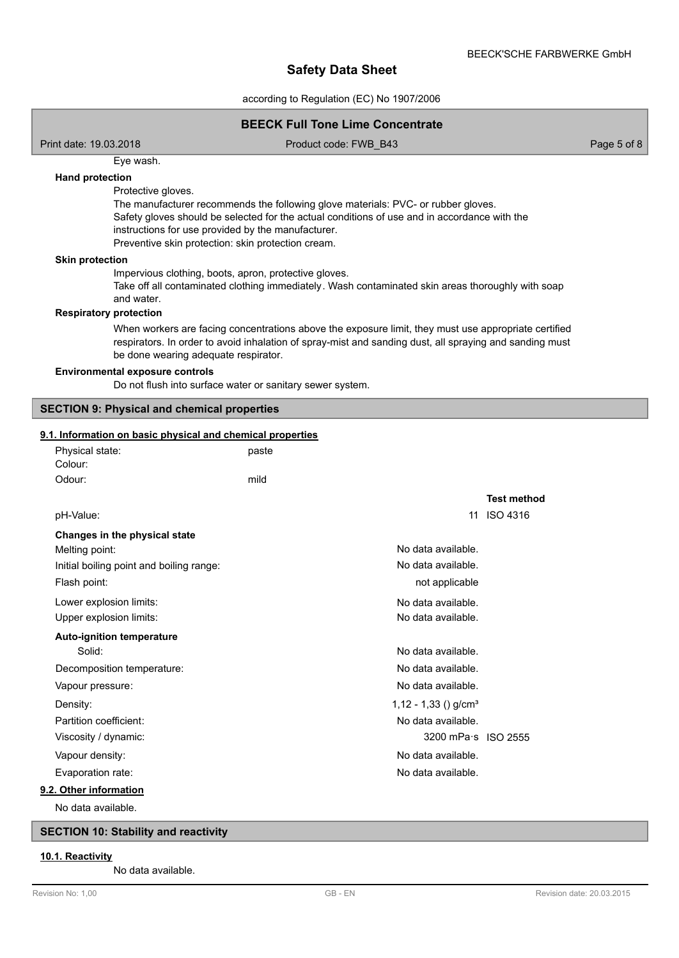according to Regulation (EC) No 1907/2006

|                                                                                                                                                                                                                                                          | <b>BEECK Full Tone Lime Concentrate</b>                                                                                                                                                                         |                                   |
|----------------------------------------------------------------------------------------------------------------------------------------------------------------------------------------------------------------------------------------------------------|-----------------------------------------------------------------------------------------------------------------------------------------------------------------------------------------------------------------|-----------------------------------|
| Print date: 19.03.2018                                                                                                                                                                                                                                   | Product code: FWB_B43                                                                                                                                                                                           | Page 5 of 8                       |
| Eye wash.<br><b>Hand protection</b><br>Protective gloves.<br>instructions for use provided by the manufacturer.<br>Preventive skin protection: skin protection cream.<br><b>Skin protection</b><br>Impervious clothing, boots, apron, protective gloves. | The manufacturer recommends the following glove materials: PVC- or rubber gloves.<br>Safety gloves should be selected for the actual conditions of use and in accordance with the                               |                                   |
| and water.<br><b>Respiratory protection</b>                                                                                                                                                                                                              | Take off all contaminated clothing immediately. Wash contaminated skin areas thoroughly with soap                                                                                                               |                                   |
| be done wearing adequate respirator.<br><b>Environmental exposure controls</b>                                                                                                                                                                           | When workers are facing concentrations above the exposure limit, they must use appropriate certified<br>respirators. In order to avoid inhalation of spray-mist and sanding dust, all spraying and sanding must |                                   |
|                                                                                                                                                                                                                                                          | Do not flush into surface water or sanitary sewer system.                                                                                                                                                       |                                   |
| <b>SECTION 9: Physical and chemical properties</b>                                                                                                                                                                                                       |                                                                                                                                                                                                                 |                                   |
| 9.1. Information on basic physical and chemical properties                                                                                                                                                                                               |                                                                                                                                                                                                                 |                                   |
| Physical state:<br>Colour:                                                                                                                                                                                                                               | paste                                                                                                                                                                                                           |                                   |
| Odour:                                                                                                                                                                                                                                                   | mild                                                                                                                                                                                                            |                                   |
| pH-Value:                                                                                                                                                                                                                                                |                                                                                                                                                                                                                 | <b>Test method</b><br>11 ISO 4316 |
| Changes in the physical state<br>Melting point:<br>Initial boiling point and boiling range:<br>Flash point:                                                                                                                                              | No data available.<br>No data available.<br>not applicable                                                                                                                                                      |                                   |
| Lower explosion limits:<br>Upper explosion limits:                                                                                                                                                                                                       | No data available.<br>No data available                                                                                                                                                                         |                                   |
| <b>Auto-ignition temperature</b><br>Solid:                                                                                                                                                                                                               | No data available.                                                                                                                                                                                              |                                   |
| Decomposition temperature:<br>Vapour pressure:                                                                                                                                                                                                           | No data available.<br>No data available.                                                                                                                                                                        |                                   |
| Density:<br>Partition coefficient:                                                                                                                                                                                                                       | $1,12 - 1,33$ () g/cm <sup>3</sup><br>No data available.                                                                                                                                                        |                                   |
| Viscosity / dynamic:<br>Vapour density:<br>Evaporation rate:                                                                                                                                                                                             | 3200 mPa s ISO 2555<br>No data available.<br>No data available.                                                                                                                                                 |                                   |
| 9.2. Other information<br>No data available.                                                                                                                                                                                                             |                                                                                                                                                                                                                 |                                   |
| <b>SECTION 10: Stability and reactivity</b>                                                                                                                                                                                                              |                                                                                                                                                                                                                 |                                   |
| 10.1. Reactivity<br>No data available.                                                                                                                                                                                                                   |                                                                                                                                                                                                                 |                                   |

I

ſ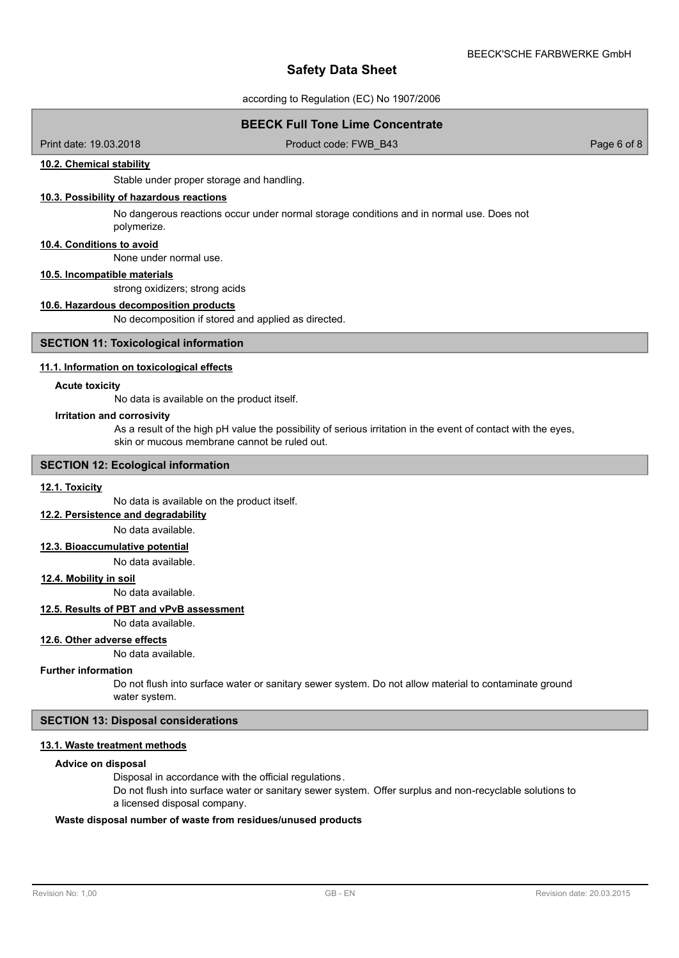according to Regulation (EC) No 1907/2006

# **BEECK Full Tone Lime Concentrate**

Print date: 19.03.2018 **Product code: FWB\_B43** Page 6 of 8 Page 6 of 8

## **10.2. Chemical stability**

Stable under proper storage and handling.

# **10.3. Possibility of hazardous reactions**

No dangerous reactions occur under normal storage conditions and in normal use. Does not polymerize.

### **10.4. Conditions to avoid**

None under normal use.

# **10.5. Incompatible materials**

strong oxidizers; strong acids

#### **10.6. Hazardous decomposition products**

No decomposition if stored and applied as directed.

## **SECTION 11: Toxicological information**

#### **11.1. Information on toxicological effects**

#### **Acute toxicity**

No data is available on the product itself.

#### **Irritation and corrosivity**

As a result of the high pH value the possibility of serious irritation in the event of contact with the eyes, skin or mucous membrane cannot be ruled out.

### **SECTION 12: Ecological information**

#### **12.1. Toxicity**

No data is available on the product itself.

**12.2. Persistence and degradability**

No data available.

# **12.3. Bioaccumulative potential**

No data available.

#### **12.4. Mobility in soil**

No data available.

## **12.5. Results of PBT and vPvB assessment**

No data available.

#### **12.6. Other adverse effects**

No data available.

#### **Further information**

Do not flush into surface water or sanitary sewer system. Do not allow material to contaminate ground water system.

# **SECTION 13: Disposal considerations**

# **13.1. Waste treatment methods**

#### **Advice on disposal**

Disposal in accordance with the official regulations.

Do not flush into surface water or sanitary sewer system. Offer surplus and non-recyclable solutions to a licensed disposal company.

#### **Waste disposal number of waste from residues/unused products**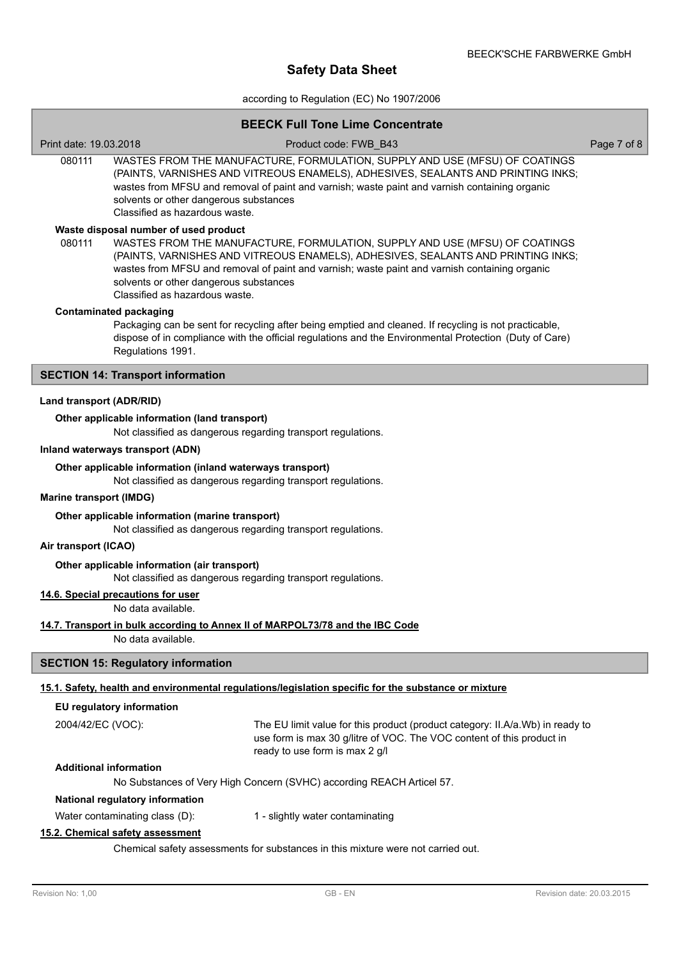according to Regulation (EC) No 1907/2006

# **BEECK FULL TONE CONCERT**

|                                                                                                                 |                                                                          | BEECK Full Tone Lime Concentrate                                                                                                                                                                                                                                 |             |
|-----------------------------------------------------------------------------------------------------------------|--------------------------------------------------------------------------|------------------------------------------------------------------------------------------------------------------------------------------------------------------------------------------------------------------------------------------------------------------|-------------|
| Print date: 19.03.2018                                                                                          |                                                                          | Product code: FWB B43                                                                                                                                                                                                                                            | Page 7 of 8 |
| 080111                                                                                                          | solvents or other dangerous substances<br>Classified as hazardous waste. | WASTES FROM THE MANUFACTURE, FORMULATION, SUPPLY AND USE (MFSU) OF COATINGS<br>(PAINTS, VARNISHES AND VITREOUS ENAMELS), ADHESIVES, SEALANTS AND PRINTING INKS;<br>wastes from MFSU and removal of paint and varnish; waste paint and varnish containing organic |             |
|                                                                                                                 | Waste disposal number of used product                                    |                                                                                                                                                                                                                                                                  |             |
| 080111                                                                                                          | solvents or other dangerous substances<br>Classified as hazardous waste. | WASTES FROM THE MANUFACTURE, FORMULATION, SUPPLY AND USE (MFSU) OF COATINGS<br>(PAINTS, VARNISHES AND VITREOUS ENAMELS), ADHESIVES, SEALANTS AND PRINTING INKS;<br>wastes from MFSU and removal of paint and varnish; waste paint and varnish containing organic |             |
|                                                                                                                 | <b>Contaminated packaging</b>                                            |                                                                                                                                                                                                                                                                  |             |
|                                                                                                                 | Regulations 1991.                                                        | Packaging can be sent for recycling after being emptied and cleaned. If recycling is not practicable,<br>dispose of in compliance with the official regulations and the Environmental Protection (Duty of Care)                                                  |             |
|                                                                                                                 | <b>SECTION 14: Transport information</b>                                 |                                                                                                                                                                                                                                                                  |             |
| Land transport (ADR/RID)                                                                                        |                                                                          |                                                                                                                                                                                                                                                                  |             |
|                                                                                                                 | Other applicable information (land transport)                            |                                                                                                                                                                                                                                                                  |             |
|                                                                                                                 |                                                                          | Not classified as dangerous regarding transport regulations.                                                                                                                                                                                                     |             |
|                                                                                                                 | Inland waterways transport (ADN)                                         |                                                                                                                                                                                                                                                                  |             |
|                                                                                                                 | Other applicable information (inland waterways transport)                | Not classified as dangerous regarding transport regulations.                                                                                                                                                                                                     |             |
| <b>Marine transport (IMDG)</b>                                                                                  |                                                                          |                                                                                                                                                                                                                                                                  |             |
| Other applicable information (marine transport)<br>Not classified as dangerous regarding transport regulations. |                                                                          |                                                                                                                                                                                                                                                                  |             |
| Air transport (ICAO)                                                                                            |                                                                          |                                                                                                                                                                                                                                                                  |             |
|                                                                                                                 | Other applicable information (air transport)                             | Not classified as dangerous regarding transport regulations.                                                                                                                                                                                                     |             |
|                                                                                                                 | 14.6. Special precautions for user                                       |                                                                                                                                                                                                                                                                  |             |
|                                                                                                                 | No data available.                                                       |                                                                                                                                                                                                                                                                  |             |
|                                                                                                                 |                                                                          | 14.7. Transport in bulk according to Annex II of MARPOL73/78 and the IBC Code                                                                                                                                                                                    |             |
|                                                                                                                 | No data available.                                                       |                                                                                                                                                                                                                                                                  |             |
|                                                                                                                 | <b>SECTION 15: Regulatory information</b>                                |                                                                                                                                                                                                                                                                  |             |
|                                                                                                                 |                                                                          | 15.1. Safety, health and environmental regulations/legislation specific for the substance or mixture                                                                                                                                                             |             |
|                                                                                                                 | EU regulatory information                                                |                                                                                                                                                                                                                                                                  |             |
| 2004/42/EC (VOC):                                                                                               |                                                                          | The EU limit value for this product (product category: II.A/a.Wb) in ready to<br>use form is max 30 g/litre of VOC. The VOC content of this product in<br>ready to use form is max 2 g/l                                                                         |             |
|                                                                                                                 | <b>Additional information</b>                                            |                                                                                                                                                                                                                                                                  |             |
|                                                                                                                 |                                                                          | No Substances of Very High Concern (SVHC) according REACH Articel 57.                                                                                                                                                                                            |             |
|                                                                                                                 | National regulatory information                                          |                                                                                                                                                                                                                                                                  |             |
|                                                                                                                 | Water contaminating class (D):                                           | 1 - slightly water contaminating                                                                                                                                                                                                                                 |             |
|                                                                                                                 | 15.2. Chemical safety assessment                                         |                                                                                                                                                                                                                                                                  |             |
| Chemical safety assessments for substances in this mixture were not carried out.                                |                                                                          |                                                                                                                                                                                                                                                                  |             |